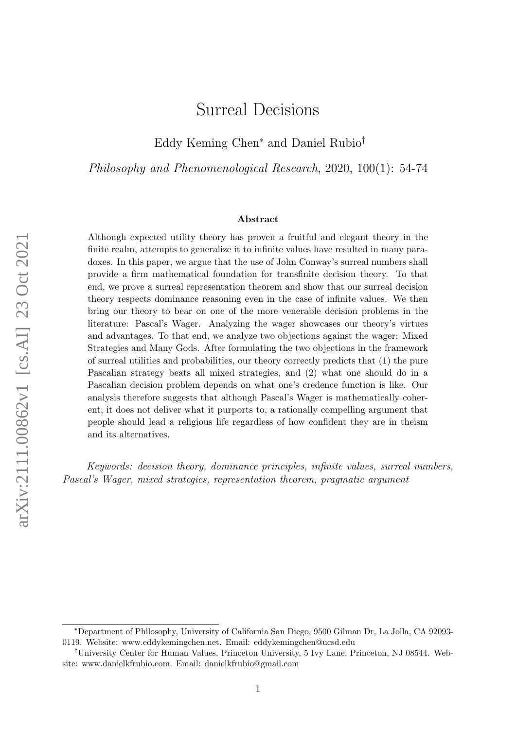# Surreal Decisions

Eddy Keming Chen<sup>∗</sup> and Daniel Rubio†

<span id="page-0-0"></span>Philosophy and Phenomenological Research, 2020, 100(1): 54-74

#### Abstract

Although expected utility theory has proven a fruitful and elegant theory in the finite realm, attempts to generalize it to infinite values have resulted in many paradoxes. In this paper, we argue that the use of John Conway's surreal numbers shall provide a firm mathematical foundation for transfinite decision theory. To that end, we prove a surreal representation theorem and show that our surreal decision theory respects dominance reasoning even in the case of infinite values. We then bring our theory to bear on one of the more venerable decision problems in the literature: Pascal's Wager. Analyzing the wager showcases our theory's virtues and advantages. To that end, we analyze two objections against the wager: Mixed Strategies and Many Gods. After formulating the two objections in the framework of surreal utilities and probabilities, our theory correctly predicts that (1) the pure Pascalian strategy beats all mixed strategies, and (2) what one should do in a Pascalian decision problem depends on what one's credence function is like. Our analysis therefore suggests that although Pascal's Wager is mathematically coherent, it does not deliver what it purports to, a rationally compelling argument that people should lead a religious life regardless of how confident they are in theism and its alternatives.

Keywords: decision theory, dominance principles, infinite values, surreal numbers, Pascal's Wager, mixed strategies, representation theorem, pragmatic argument

<sup>∗</sup>Department of Philosophy, University of California San Diego, 9500 Gilman Dr, La Jolla, CA 92093- 0119. Website: www.eddykemingchen.net. Email: eddykemingchen@ucsd.edu

<sup>†</sup>University Center for Human Values, Princeton University, 5 Ivy Lane, Princeton, NJ 08544. Website: www.danielkfrubio.com. Email: danielkfrubio@gmail.com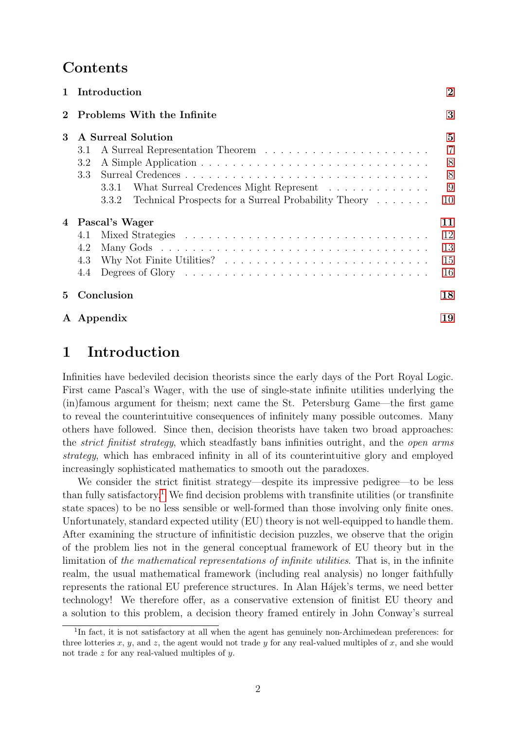# Contents

|                | 1 Introduction                                                                                                                                              | $\overline{2}$             |  |  |  |  |
|----------------|-------------------------------------------------------------------------------------------------------------------------------------------------------------|----------------------------|--|--|--|--|
| $\overline{2}$ | Problems With the Infinite                                                                                                                                  |                            |  |  |  |  |
| 3              | A Surreal Solution<br>3.1<br>3.2<br>3.3<br>What Surreal Credences Might Represent<br>3.3.1<br>Technical Prospects for a Surreal Probability Theory<br>3.3.2 |                            |  |  |  |  |
| 4              | Pascal's Wager<br>4.1<br>4.2<br>4.3<br>4.4                                                                                                                  | 11<br>12<br>13<br>15<br>16 |  |  |  |  |
| $5^{\circ}$    | Conclusion<br>A Appendix                                                                                                                                    | 18<br>19                   |  |  |  |  |

## <span id="page-1-0"></span>1 Introduction

Infinities have bedeviled decision theorists since the early days of the Port Royal Logic. First came Pascal's Wager, with the use of single-state infinite utilities underlying the (in)famous argument for theism; next came the St. Petersburg Game—the first game to reveal the counterintuitive consequences of infinitely many possible outcomes. Many others have followed. Since then, decision theorists have taken two broad approaches: the strict finitist strategy, which steadfastly bans infinities outright, and the open arms strategy, which has embraced infinity in all of its counterintuitive glory and employed increasingly sophisticated mathematics to smooth out the paradoxes.

We consider the strict finitist strategy—despite its impressive pedigree—to be less than fully satisfactory.<sup>[1](#page-0-0)</sup> We find decision problems with transfinite utilities (or transfinite state spaces) to be no less sensible or well-formed than those involving only finite ones. Unfortunately, standard expected utility (EU) theory is not well-equipped to handle them. After examining the structure of infinitistic decision puzzles, we observe that the origin of the problem lies not in the general conceptual framework of EU theory but in the limitation of the mathematical representations of infinite utilities. That is, in the infinite realm, the usual mathematical framework (including real analysis) no longer faithfully represents the rational EU preference structures. In Alan Hajek's terms, we need better technology! We therefore offer, as a conservative extension of finitist EU theory and a solution to this problem, a decision theory framed entirely in John Conway's surreal

<sup>&</sup>lt;sup>1</sup>In fact, it is not satisfactory at all when the agent has genuinely non-Archimedean preferences: for three lotteries x, y, and z, the agent would not trade y for any real-valued multiples of x, and she would not trade  $z$  for any real-valued multiples of  $y$ .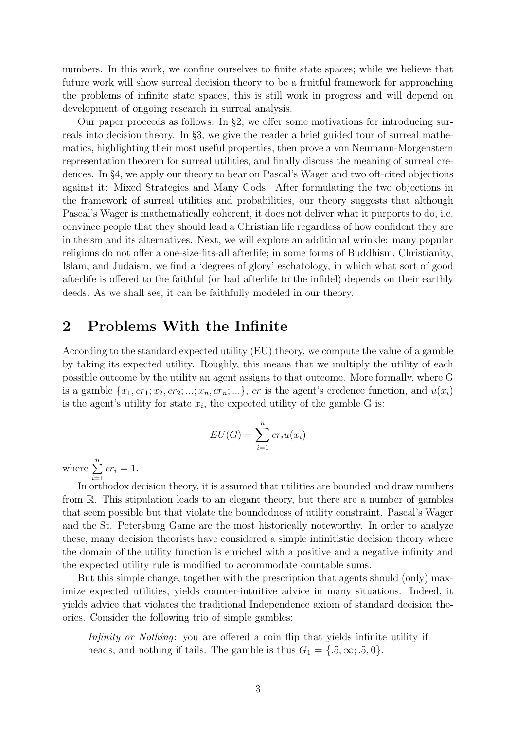numbers. In this work, we confine ourselves to finite state spaces; while we believe that future work will show surreal decision theory to be a fruitful framework for approaching the problems of infinite state spaces, this is still work in progress and will depend on development of ongoing research in surreal analysis.

Our paper proceeds as follows: In §2, we offer some motivations for introducing surreals into decision theory. In §3, we give the reader a brief guided tour of surreal mathematics, highlighting their most useful properties, then prove a von Neumann-Morgenstern representation theorem for surreal utilities, and finally discuss the meaning of surreal credences. In §4, we apply our theory to bear on Pascal's Wager and two oft-cited objections against it: Mixed Strategies and Many Gods. After formulating the two objections in the framework of surreal utilities and probabilities, our theory suggests that although Pascal's Wager is mathematically coherent, it does not deliver what it purports to do, i.e. convince people that they should lead a Christian life regardless of how confident they are in theism and its alternatives. Next, we will explore an additional wrinkle: many popular religions do not offer a one-size-fits-all afterlife; in some forms of Buddhism, Christianity, Islam, and Judaism, we find a 'degrees of glory' eschatology, in which what sort of good afterlife is offered to the faithful (or bad afterlife to the infidel) depends on their earthly deeds. As we shall see, it can be faithfully modeled in our theory.

## <span id="page-2-0"></span>2 Problems With the Infinite

According to the standard expected utility (EU) theory, we compute the value of a gamble by taking its expected utility. Roughly, this means that we multiply the utility of each possible outcome by the utility an agent assigns to that outcome. More formally, where G is a gamble  $\{x_1, cr_1; x_2, cr_2; \ldots; x_n, cr_n; \ldots\}$ , cr is the agent's credence function, and  $u(x_i)$ is the agent's utility for state  $x_i$ , the expected utility of the gamble G is:

$$
EU(G) = \sum_{i=1}^{n} cr_i u(x_i)
$$

where  $\sum_{n=1}^{\infty}$  $\frac{i=1}{i}$  $cr_i = 1.$ 

In orthodox decision theory, it is assumed that utilities are bounded and draw numbers from R. This stipulation leads to an elegant theory, but there are a number of gambles that seem possible but that violate the boundedness of utility constraint. Pascal's Wager and the St. Petersburg Game are the most historically noteworthy. In order to analyze these, many decision theorists have considered a simple infinitistic decision theory where the domain of the utility function is enriched with a positive and a negative infinity and the expected utility rule is modified to accommodate countable sums.

But this simple change, together with the prescription that agents should (only) maximize expected utilities, yields counter-intuitive advice in many situations. Indeed, it yields advice that violates the traditional Independence axiom of standard decision theories. Consider the following trio of simple gambles:

Infinity or Nothing: you are offered a coin flip that yields infinite utility if heads, and nothing if tails. The gamble is thus  $G_1 = \{.5, \infty, .5, 0\}.$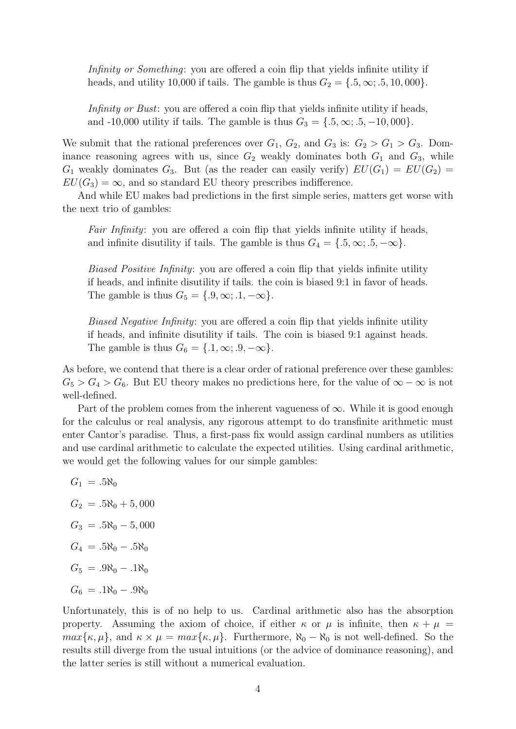Infinity or Something: you are offered a coin flip that yields infinite utility if heads, and utility 10,000 if tails. The gamble is thus  $G_2 = \{.5, \infty, .5, 10, 000\}.$ 

Infinity or Bust: you are offered a coin flip that yields infinite utility if heads, and -10,000 utility if tails. The gamble is thus  $G_3 = \{.5, \infty, .5, -10, 000\}.$ 

We submit that the rational preferences over  $G_1, G_2$ , and  $G_3$  is:  $G_2 > G_1 > G_3$ . Dominance reasoning agrees with us, since  $G_2$  weakly dominates both  $G_1$  and  $G_3$ , while  $G_1$  weakly dominates  $G_3$ . But (as the reader can easily verify)  $EU(G_1) = EU(G_2)$  $EU(G_3) = \infty$ , and so standard EU theory prescribes indifference.

And while EU makes bad predictions in the first simple series, matters get worse with the next trio of gambles:

Fair Infinity: you are offered a coin flip that yields infinite utility if heads, and infinite disutility if tails. The gamble is thus  $G_4 = \{.5, \infty, .5, -\infty\}.$ 

Biased Positive Infinity: you are offered a coin flip that yields infinite utility if heads, and infinite disutility if tails. the coin is biased 9:1 in favor of heads. The gamble is thus  $G_5 = \{.9, \infty, .1, -\infty\}.$ 

Biased Negative Infinity: you are offered a coin flip that yields infinite utility if heads, and infinite disutility if tails. The coin is biased 9:1 against heads. The gamble is thus  $G_6 = \{.1, \infty, .9, -\infty\}.$ 

As before, we contend that there is a clear order of rational preference over these gambles:  $G_5 > G_4 > G_6$ . But EU theory makes no predictions here, for the value of  $\infty - \infty$  is not well-defined.

Part of the problem comes from the inherent vagueness of  $\infty$ . While it is good enough for the calculus or real analysis, any rigorous attempt to do transfinite arithmetic must enter Cantor's paradise. Thus, a first-pass fix would assign cardinal numbers as utilities and use cardinal arithmetic to calculate the expected utilities. Using cardinal arithmetic, we would get the following values for our simple gambles:

 $G_1 = .5\aleph_0$  $G_2 = .5\aleph_0 + 5,000$  $G_3 = .5\aleph_0 - 5,000$  $G_4 = .5\aleph_0 - .5\aleph_0$  $G_5 = .9\aleph_0 - .1\aleph_0$  $G_6 = .1\aleph_0 - .9\aleph_0$ 

Unfortunately, this is of no help to us. Cardinal arithmetic also has the absorption property. Assuming the axiom of choice, if either  $\kappa$  or  $\mu$  is infinite, then  $\kappa + \mu =$  $max\{\kappa, \mu\}$ , and  $\kappa \times \mu = max\{\kappa, \mu\}$ . Furthermore,  $\aleph_0 - \aleph_0$  is not well-defined. So the results still diverge from the usual intuitions (or the advice of dominance reasoning), and the latter series is still without a numerical evaluation.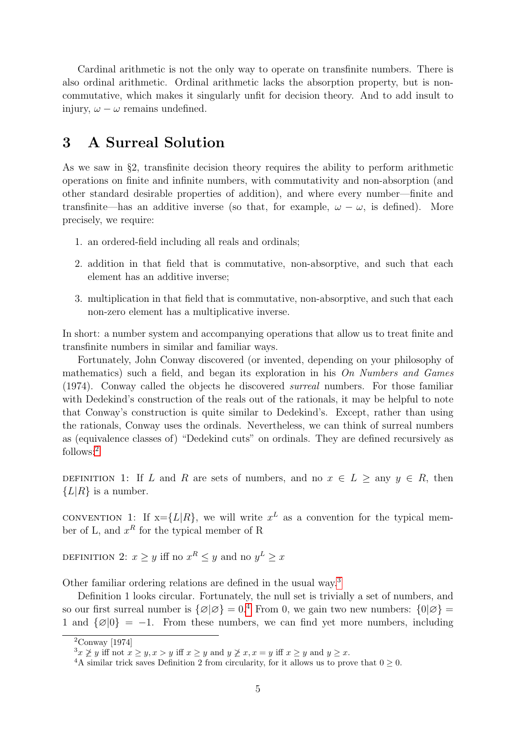Cardinal arithmetic is not the only way to operate on transfinite numbers. There is also ordinal arithmetic. Ordinal arithmetic lacks the absorption property, but is noncommutative, which makes it singularly unfit for decision theory. And to add insult to injury,  $\omega - \omega$  remains undefined.

# <span id="page-4-0"></span>3 A Surreal Solution

As we saw in §2, transfinite decision theory requires the ability to perform arithmetic operations on finite and infinite numbers, with commutativity and non-absorption (and other standard desirable properties of addition), and where every number—finite and transfinite—has an additive inverse (so that, for example,  $\omega - \omega$ , is defined). More precisely, we require:

- 1. an ordered-field including all reals and ordinals;
- 2. addition in that field that is commutative, non-absorptive, and such that each element has an additive inverse;
- 3. multiplication in that field that is commutative, non-absorptive, and such that each non-zero element has a multiplicative inverse.

In short: a number system and accompanying operations that allow us to treat finite and transfinite numbers in similar and familiar ways.

Fortunately, John Conway discovered (or invented, depending on your philosophy of mathematics) such a field, and began its exploration in his On Numbers and Games (1974). Conway called the objects he discovered surreal numbers. For those familiar with Dedekind's construction of the reals out of the rationals, it may be helpful to note that Conway's construction is quite similar to Dedekind's. Except, rather than using the rationals, Conway uses the ordinals. Nevertheless, we can think of surreal numbers as (equivalence classes of) "Dedekind cuts" on ordinals. They are defined recursively as follows:[2](#page-0-0)

DEFINITION 1: If L and R are sets of numbers, and no  $x \in L$  > any  $y \in R$ , then  ${L|R}$  is a number.

CONVENTION 1: If  $x = \{L|R\}$ , we will write  $x^L$  as a convention for the typical member of L, and  $x^R$  for the typical member of R

DEFINITION 2:  $x \geq y$  iff no  $x^R \leq y$  and no  $y^L \geq x$ 

Other familiar ordering relations are defined in the usual way.[3](#page-0-0)

Definition 1 looks circular. Fortunately, the null set is trivially a set of numbers, and so our first surreal number is  $\{\varnothing|\varnothing\}=0.4$  $\{\varnothing|\varnothing\}=0.4$  From 0, we gain two new numbers:  $\{0|\varnothing\}=$ 1 and  $\{\emptyset | 0\} = -1$ . From these numbers, we can find yet more numbers, including

 $2$ Conway [1974]

 $x^3x \not> y$  iff not  $x > y, x > y$  iff  $x > y$  and  $y \not> x, x = y$  iff  $x > y$  and  $y > x$ .

<sup>&</sup>lt;sup>4</sup>A similar trick saves Definition 2 from circularity, for it allows us to prove that  $0 \ge 0$ .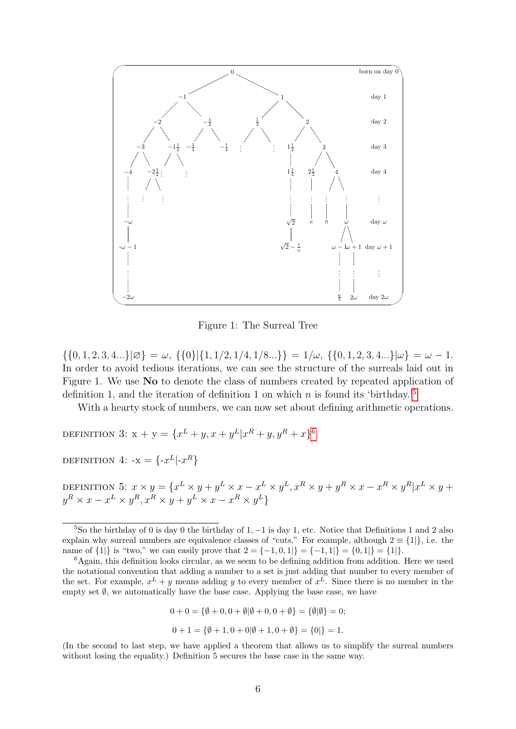

Figure 1: The Surreal Tree

 ${\{0, 1, 2, 3, 4...\}|\varnothing} = \omega, {\{\{0\}|\{1, 1/2, 1/4, 1/8...\}\}} = 1/\omega, {\{\{0, 1, 2, 3, 4...\}|\omega\}} = \omega - 1.$ In order to avoid tedious iterations, we can see the structure of the surreals laid out in Figure 1. We use No to denote the class of numbers created by repeated application of definition 1, and the iteration of definition 1 on which n is found its 'birthday.'<sup>[5](#page-0-0)</sup>

With a hearty stock of numbers, we can now set about defining arithmetic operations.

DEFINITION 3:  $x + y = \{x^L + y, x + y^L | x^R + y, y^R + x\}^6$  $x + y = \{x^L + y, x + y^L | x^R + y, y^R + x\}^6$ 

DEFINITION 4:  $-x = \{-x^L | -x^R\}$ 

DEFINITION 5:  $x \times y = \{x^L \times y + y^L \times x - x^L \times y^L, x^R \times y + y^R \times x - x^R \times y^R | x^L \times y + y^R \times y^R \}$  $y^R \times x - x^L \times y^R, x^R \times y + y^L \times x - x^R \times y^L$ 

 $0 + 0 = {\emptyset + 0, 0 + \emptyset}$  $\emptyset + 0, 0 + \emptyset$  $\{ \emptyset | \emptyset \} = {\emptyset}$  $0 + 1 = {\emptyset + 1, 0 + 0 | \emptyset + 1, 0 + \emptyset} = {0 | } = 1.$ 

(In the second to last step, we have applied a theorem that allows us to simplify the surreal numbers without losing the equality.) Definition 5 secures the base case in the same way.

<sup>5</sup>So the birthday of 0 is day 0 the birthday of 1, <sup>−</sup>1 is day 1, etc. Notice that Definitions 1 and 2 also explain why surreal numbers are equivalence classes of "cuts." For example, although  $2 \equiv \{1\}$ , i.e. the name of  $\{1\}$  is "two," we can easily prove that  $2 = \{-1, 0, 1\} = \{-1, 1\} = \{0, 1\} = \{1\}$ .

 ${}^{6}$ Again, this definition looks circular, as we seem to be defining addition from addition. Here we used the notational convention that adding a number to a set is just adding that number to every member of the set. For example,  $x^L + y$  means adding y to every member of  $x^L$ . Since there is no member in the empty set  $\emptyset$ , we automatically have the base case. Applying the base case, we have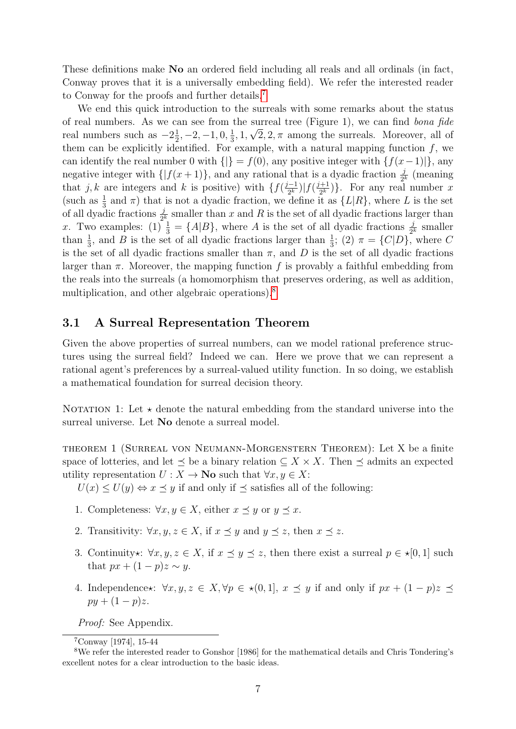These definitions make No an ordered field including all reals and all ordinals (in fact, Conway proves that it is a universally embedding field). We refer the interested reader to Conway for the proofs and further details.[7](#page-0-0)

We end this quick introduction to the surreals with some remarks about the status of real numbers. As we can see from the surreal tree (Figure 1), we can find bona fide real numbers such as  $-2\frac{1}{2}$  $\frac{1}{2}, -2, -1, 0, \frac{1}{3}$  $\frac{1}{3}$ , 1,  $\sqrt{2}$ , 2,  $\pi$  among the surreals. Moreover, all of them can be explicitly identified. For example, with a natural mapping function  $f$ , we can identify the real number 0 with  $\{|\} = f(0)$ , any positive integer with  $\{f(x-1)|\}$ , any negative integer with  $\{|f(x+1)\}\$ , and any rational that is a dyadic fraction  $\frac{j}{2^k}$  (meaning that j, k are integers and k is positive) with  $\{f(\frac{j-1}{2^k})\}$  $\frac{(i-1)}{2^k}$ )| $f(\frac{j+1}{2^k})$  $\left(\frac{y+1}{2^k}\right)$ . For any real number x (such as  $\frac{1}{3}$  and  $\pi$ ) that is not a dyadic fraction, we define it as  $\{L|R\}$ , where L is the set of all dyadic fractions  $\frac{j}{2^k}$  smaller than x and R is the set of all dyadic fractions larger than x. Two examples: (1)  $\frac{1}{3} = \{A|B\}$ , where A is the set of all dyadic fractions  $\frac{j}{2^k}$  smaller than  $\frac{1}{3}$ , and B is the set of all dyadic fractions larger than  $\frac{1}{3}$ ; (2)  $\pi = \{C|D\}$ , where C is the set of all dyadic fractions smaller than  $\pi$ , and D is the set of all dyadic fractions larger than  $\pi$ . Moreover, the mapping function f is provably a faithful embedding from the reals into the surreals (a homomorphism that preserves ordering, as well as addition, multiplication, and other algebraic operations).<sup>[8](#page-0-0)</sup>

### <span id="page-6-0"></span>3.1 A Surreal Representation Theorem

Given the above properties of surreal numbers, can we model rational preference structures using the surreal field? Indeed we can. Here we prove that we can represent a rational agent's preferences by a surreal-valued utility function. In so doing, we establish a mathematical foundation for surreal decision theory.

NOTATION 1: Let  $\star$  denote the natural embedding from the standard universe into the surreal universe. Let No denote a surreal model.

theorem 1 (Surreal von Neumann-Morgenstern Theorem): Let X be a finite space of lotteries, and let  $\preceq$  be a binary relation  $\subseteq X \times X$ . Then  $\preceq$  admits an expected utility representation  $U : X \to \mathbb{N}$ o such that  $\forall x, y \in X$ :

 $U(x) \leq U(y) \Leftrightarrow x \leq y$  if and only if  $\preceq$  satisfies all of the following:

- 1. Completeness:  $\forall x, y \in X$ , either  $x \prec y$  or  $y \prec x$ .
- 2. Transitivity:  $\forall x, y, z \in X$ , if  $x \preceq y$  and  $y \preceq z$ , then  $x \preceq z$ .
- 3. Continuity $\star: \forall x, y, z \in X$ , if  $x \leq y \leq z$ , then there exist a surreal  $p \in \star[0, 1]$  such that  $px + (1-p)z \sim y$ .
- 4. Independence\*:  $\forall x, y, z \in X, \forall p \in \star(0,1], x \preceq y$  if and only if  $px + (1 p)z \preceq z$  $py + (1 - p)z$ .

Proof: See Appendix.

<sup>7</sup>Conway [1974], 15-44

<sup>8</sup>We refer the interested reader to Gonshor [1986] for the mathematical details and Chris Tondering's excellent notes for a clear introduction to the basic ideas.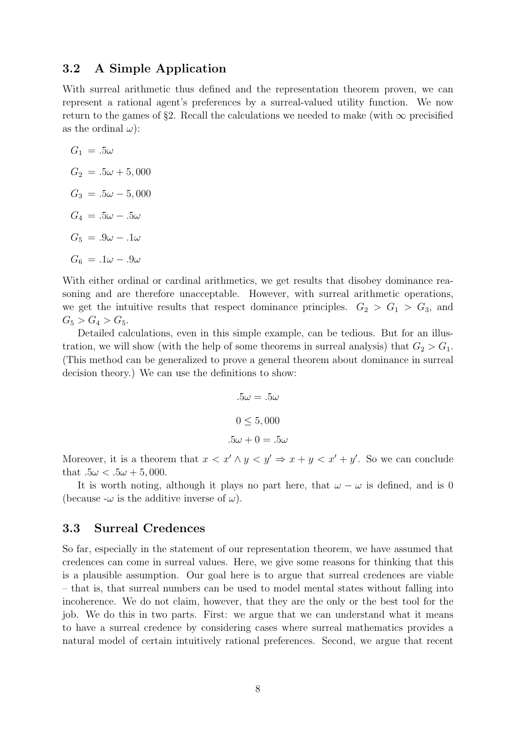### <span id="page-7-0"></span>3.2 A Simple Application

With surreal arithmetic thus defined and the representation theorem proven, we can represent a rational agent's preferences by a surreal-valued utility function. We now return to the games of §2. Recall the calculations we needed to make (with  $\infty$  precisified as the ordinal  $\omega$ :

$$
G_1 = .5\omega
$$
  
\n
$$
G_2 = .5\omega + 5,000
$$
  
\n
$$
G_3 = .5\omega - 5,000
$$
  
\n
$$
G_4 = .5\omega - .5\omega
$$
  
\n
$$
G_5 = .9\omega - .1\omega
$$
  
\n
$$
G_6 = .1\omega - .9\omega
$$

With either ordinal or cardinal arithmetics, we get results that disobey dominance reasoning and are therefore unacceptable. However, with surreal arithmetic operations, we get the intuitive results that respect dominance principles.  $G_2 > G_1 > G_3$ , and  $G_5 > G_4 > G_5$ .

Detailed calculations, even in this simple example, can be tedious. But for an illustration, we will show (with the help of some theorems in surreal analysis) that  $G_2 > G_1$ . (This method can be generalized to prove a general theorem about dominance in surreal decision theory.) We can use the definitions to show:

$$
.5\omega = .5\omega
$$

$$
0 \le 5,000
$$

$$
.5\omega + 0 = .5\omega
$$

Moreover, it is a theorem that  $x < x' \wedge y < y' \Rightarrow x + y < x' + y'$ . So we can conclude that  $.5\omega < .5\omega + 5,000$ .

It is worth noting, although it plays no part here, that  $\omega - \omega$  is defined, and is 0 (because  $-\omega$  is the additive inverse of  $\omega$ ).

### <span id="page-7-1"></span>3.3 Surreal Credences

So far, especially in the statement of our representation theorem, we have assumed that credences can come in surreal values. Here, we give some reasons for thinking that this is a plausible assumption. Our goal here is to argue that surreal credences are viable – that is, that surreal numbers can be used to model mental states without falling into incoherence. We do not claim, however, that they are the only or the best tool for the job. We do this in two parts. First: we argue that we can understand what it means to have a surreal credence by considering cases where surreal mathematics provides a natural model of certain intuitively rational preferences. Second, we argue that recent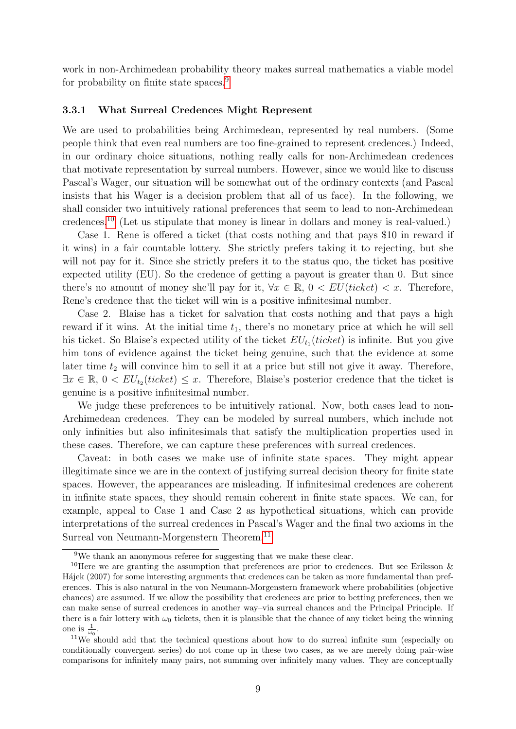work in non-Archimedean probability theory makes surreal mathematics a viable model for probability on finite state spaces.[9](#page-0-0)

#### <span id="page-8-0"></span>3.3.1 What Surreal Credences Might Represent

We are used to probabilities being Archimedean, represented by real numbers. (Some people think that even real numbers are too fine-grained to represent credences.) Indeed, in our ordinary choice situations, nothing really calls for non-Archimedean credences that motivate representation by surreal numbers. However, since we would like to discuss Pascal's Wager, our situation will be somewhat out of the ordinary contexts (and Pascal insists that his Wager is a decision problem that all of us face). In the following, we shall consider two intuitively rational preferences that seem to lead to non-Archimedean credences.[10](#page-0-0) (Let us stipulate that money is linear in dollars and money is real-valued.)

Case 1. Rene is offered a ticket (that costs nothing and that pays \$10 in reward if it wins) in a fair countable lottery. She strictly prefers taking it to rejecting, but she will not pay for it. Since she strictly prefers it to the status quo, the ticket has positive expected utility (EU). So the credence of getting a payout is greater than 0. But since there's no amount of money she'll pay for it,  $\forall x \in \mathbb{R}$ ,  $0 \lt EU(iicket) \lt x$ . Therefore, Rene's credence that the ticket will win is a positive infinitesimal number.

Case 2. Blaise has a ticket for salvation that costs nothing and that pays a high reward if it wins. At the initial time  $t_1$ , there's no monetary price at which he will sell his ticket. So Blaise's expected utility of the ticket  $EU_{t_1}(ticket)$  is infinite. But you give him tons of evidence against the ticket being genuine, such that the evidence at some later time  $t_2$  will convince him to sell it at a price but still not give it away. Therefore,  $\exists x \in \mathbb{R}, 0 < EU_{t_2}(ticket) \leq x$ . Therefore, Blaise's posterior credence that the ticket is genuine is a positive infinitesimal number.

We judge these preferences to be intuitively rational. Now, both cases lead to non-Archimedean credences. They can be modeled by surreal numbers, which include not only infinities but also infinitesimals that satisfy the multiplication properties used in these cases. Therefore, we can capture these preferences with surreal credences.

Caveat: in both cases we make use of infinite state spaces. They might appear illegitimate since we are in the context of justifying surreal decision theory for finite state spaces. However, the appearances are misleading. If infinitesimal credences are coherent in infinite state spaces, they should remain coherent in finite state spaces. We can, for example, appeal to Case 1 and Case 2 as hypothetical situations, which can provide interpretations of the surreal credences in Pascal's Wager and the final two axioms in the Surreal von Neumann-Morgenstern Theorem.<sup>[11](#page-0-0)</sup>

<sup>9</sup>We thank an anonymous referee for suggesting that we make these clear.

<sup>&</sup>lt;sup>10</sup>Here we are granting the assumption that preferences are prior to credences. But see Eriksson & Hájek (2007) for some interesting arguments that credences can be taken as more fundamental than preferences. This is also natural in the von Neumann-Morgenstern framework where probabilities (objective chances) are assumed. If we allow the possibility that credences are prior to betting preferences, then we can make sense of surreal credences in another way–via surreal chances and the Principal Principle. If there is a fair lottery with  $\omega_0$  tickets, then it is plausible that the chance of any ticket being the winning one is  $\frac{1}{\omega_0}$ .

 $11\,\text{We}$  should add that the technical questions about how to do surreal infinite sum (especially on conditionally convergent series) do not come up in these two cases, as we are merely doing pair-wise comparisons for infinitely many pairs, not summing over infinitely many values. They are conceptually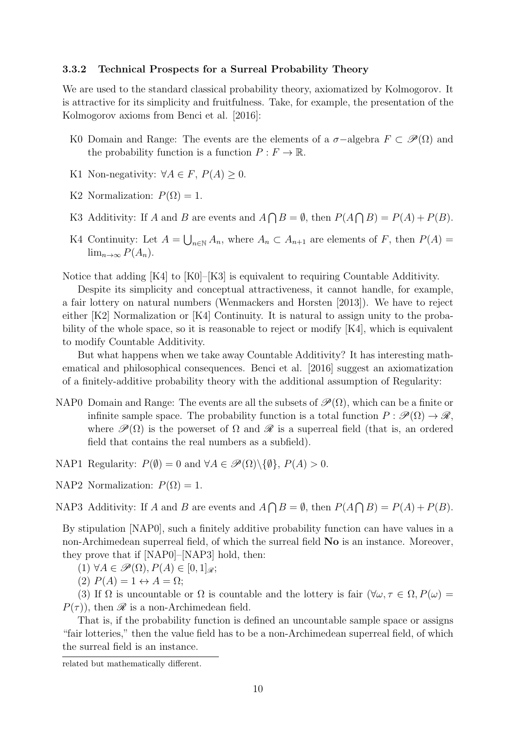#### <span id="page-9-0"></span>3.3.2 Technical Prospects for a Surreal Probability Theory

We are used to the standard classical probability theory, axiomatized by Kolmogorov. It is attractive for its simplicity and fruitfulness. Take, for example, the presentation of the Kolmogorov axioms from Benci et al. [2016]:

- K0 Domain and Range: The events are the elements of a  $\sigma$ -algebra  $F \subset \mathscr{P}(\Omega)$  and the probability function is a function  $P: F \to \mathbb{R}$ .
- K1 Non-negativity:  $\forall A \in F, P(A) \geq 0$ .
- K2 Normalization:  $P(\Omega) = 1$ .
- K3 Additivity: If A and B are events and  $A \cap B = \emptyset$ , then  $P(A \cap B) = P(A) + P(B)$ .
- K4 Continuity: Let  $A = \bigcup_{n \in \mathbb{N}} A_n$ , where  $A_n \subset A_{n+1}$  are elements of F, then  $P(A) =$  $\lim_{n\to\infty} P(A_n)$ .

Notice that adding [K4] to [K0]–[K3] is equivalent to requiring Countable Additivity.

Despite its simplicity and conceptual attractiveness, it cannot handle, for example, a fair lottery on natural numbers (Wenmackers and Horsten [2013]). We have to reject either [K2] Normalization or [K4] Continuity. It is natural to assign unity to the probability of the whole space, so it is reasonable to reject or modify [K4], which is equivalent to modify Countable Additivity.

But what happens when we take away Countable Additivity? It has interesting mathematical and philosophical consequences. Benci et al. [2016] suggest an axiomatization of a finitely-additive probability theory with the additional assumption of Regularity:

- NAP0 Domain and Range: The events are all the subsets of  $\mathscr{P}(\Omega)$ , which can be a finite or infinite sample space. The probability function is a total function  $P : \mathscr{P}(\Omega) \to \mathscr{R}$ , where  $\mathscr{P}(\Omega)$  is the powerset of  $\Omega$  and  $\mathscr R$  is a superreal field (that is, an ordered field that contains the real numbers as a subfield).
- NAP1 Regularity:  $P(\emptyset) = 0$  and  $\forall A \in \mathscr{P}(\Omega) \setminus \{\emptyset\}, P(A) > 0$ .
- NAP2 Normalization:  $P(\Omega) = 1$ .

NAP3 Additivity: If A and B are events and  $A \cap B = \emptyset$ , then  $P(A \cap B) = P(A) + P(B)$ .

By stipulation [NAP0], such a finitely additive probability function can have values in a non-Archimedean superreal field, of which the surreal field No is an instance. Moreover, they prove that if [NAP0]–[NAP3] hold, then:

- $(1) \ \forall A \in \mathscr{P}(\Omega), P(A) \in [0,1]_{\mathscr{R}};$
- (2)  $P(A) = 1 \leftrightarrow A = \Omega$ ;

(3) If  $\Omega$  is uncountable or  $\Omega$  is countable and the lottery is fair  $(\forall \omega, \tau \in \Omega, P(\omega))$  $P(\tau)$ , then  $\mathscr R$  is a non-Archimedean field.

That is, if the probability function is defined an uncountable sample space or assigns "fair lotteries," then the value field has to be a non-Archimedean superreal field, of which the surreal field is an instance.

related but mathematically different.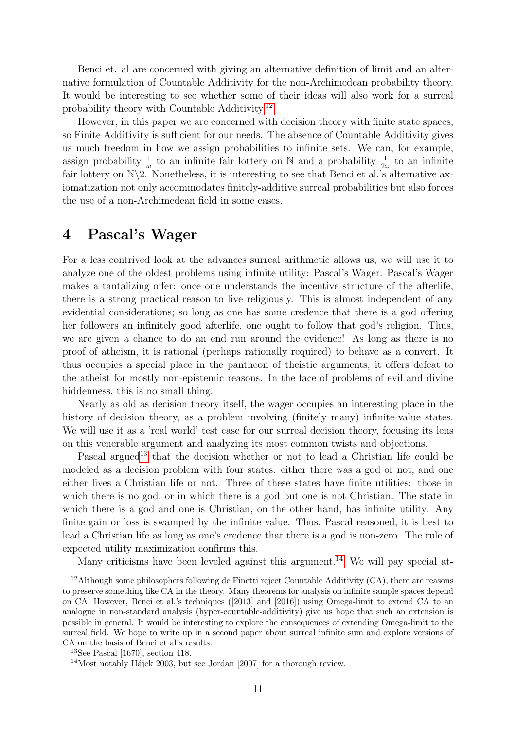Benci et. al are concerned with giving an alternative definition of limit and an alternative formulation of Countable Additivity for the non-Archimedean probability theory. It would be interesting to see whether some of their ideas will also work for a surreal probability theory with Countable Additivity.[12](#page-0-0)

However, in this paper we are concerned with decision theory with finite state spaces, so Finite Additivity is sufficient for our needs. The absence of Countable Additivity gives us much freedom in how we assign probabilities to infinite sets. We can, for example, assign probability  $\frac{1}{\omega}$  to an infinite fair lottery on N and a probability  $\frac{1}{2\omega}$  to an infinite fair lottery on  $\mathbb{N}\backslash 2$ . Nonetheless, it is interesting to see that Benci et al.'s alternative axiomatization not only accommodates finitely-additive surreal probabilities but also forces the use of a non-Archimedean field in some cases.

## <span id="page-10-0"></span>4 Pascal's Wager

For a less contrived look at the advances surreal arithmetic allows us, we will use it to analyze one of the oldest problems using infinite utility: Pascal's Wager. Pascal's Wager makes a tantalizing offer: once one understands the incentive structure of the afterlife, there is a strong practical reason to live religiously. This is almost independent of any evidential considerations; so long as one has some credence that there is a god offering her followers an infinitely good afterlife, one ought to follow that god's religion. Thus, we are given a chance to do an end run around the evidence! As long as there is no proof of atheism, it is rational (perhaps rationally required) to behave as a convert. It thus occupies a special place in the pantheon of theistic arguments; it offers defeat to the atheist for mostly non-epistemic reasons. In the face of problems of evil and divine hiddenness, this is no small thing.

Nearly as old as decision theory itself, the wager occupies an interesting place in the history of decision theory, as a problem involving (finitely many) infinite-value states. We will use it as a 'real world' test case for our surreal decision theory, focusing its lens on this venerable argument and analyzing its most common twists and objections.

Pascal argued<sup>[13](#page-0-0)</sup> that the decision whether or not to lead a Christian life could be modeled as a decision problem with four states: either there was a god or not, and one either lives a Christian life or not. Three of these states have finite utilities: those in which there is no god, or in which there is a god but one is not Christian. The state in which there is a god and one is Christian, on the other hand, has infinite utility. Any finite gain or loss is swamped by the infinite value. Thus, Pascal reasoned, it is best to lead a Christian life as long as one's credence that there is a god is non-zero. The rule of expected utility maximization confirms this.

Many criticisms have been leveled against this argument.<sup>[14](#page-0-0)</sup> We will pay special at-

 $12$ Although some philosophers following de Finetti reject Countable Additivity (CA), there are reasons to preserve something like CA in the theory. Many theorems for analysis on infinite sample spaces depend on CA. However, Benci et al.'s techniques ([2013] and [2016]) using Omega-limit to extend CA to an analogue in non-standard analysis (hyper-countable-additivity) give us hope that such an extension is possible in general. It would be interesting to explore the consequences of extending Omega-limit to the surreal field. We hope to write up in a second paper about surreal infinite sum and explore versions of CA on the basis of Benci et al's results.

<sup>13</sup>See Pascal [1670], section 418.

 $14$ Most notably Hájek 2003, but see Jordan [2007] for a thorough review.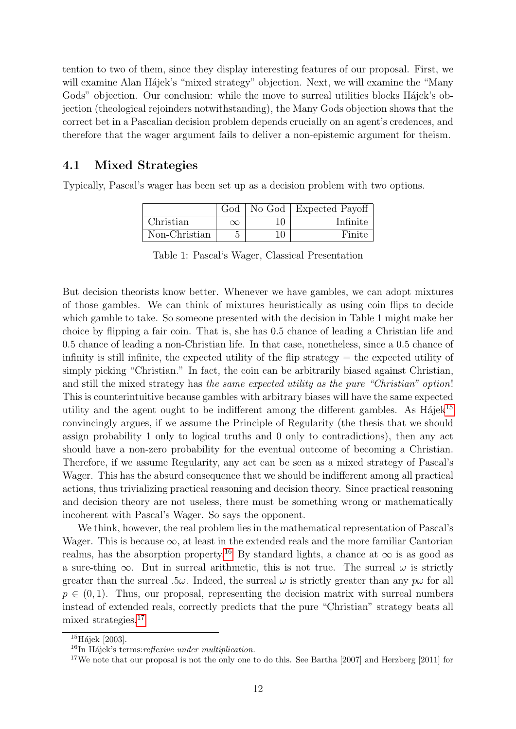tention to two of them, since they display interesting features of our proposal. First, we will examine Alan Hájek's "mixed strategy" objection. Next, we will examine the "Many Gods" objection. Our conclusion: while the move to surreal utilities blocks Hajek's objection (theological rejoinders notwithstanding), the Many Gods objection shows that the correct bet in a Pascalian decision problem depends crucially on an agent's credences, and therefore that the wager argument fails to deliver a non-epistemic argument for theism.

## <span id="page-11-0"></span>4.1 Mixed Strategies

Typically, Pascal's wager has been set up as a decision problem with two options.

|               |          | God   No God   Expected Payoff |
|---------------|----------|--------------------------------|
| Christian     | $\infty$ | Infinite                       |
| Non-Christian |          | Finite                         |

Table 1: Pascal's Wager, Classical Presentation

But decision theorists know better. Whenever we have gambles, we can adopt mixtures of those gambles. We can think of mixtures heuristically as using coin flips to decide which gamble to take. So someone presented with the decision in Table 1 might make her choice by flipping a fair coin. That is, she has 0.5 chance of leading a Christian life and 0.5 chance of leading a non-Christian life. In that case, nonetheless, since a 0.5 chance of infinity is still infinite, the expected utility of the flip strategy = the expected utility of simply picking "Christian." In fact, the coin can be arbitrarily biased against Christian, and still the mixed strategy has the same expected utility as the pure "Christian" option! This is counterintuitive because gambles with arbitrary biases will have the same expected utility and the agent ought to be indifferent among the different gambles. As  $H\acute{a}jek^{15}$  $H\acute{a}jek^{15}$  $H\acute{a}jek^{15}$ convincingly argues, if we assume the Principle of Regularity (the thesis that we should assign probability 1 only to logical truths and 0 only to contradictions), then any act should have a non-zero probability for the eventual outcome of becoming a Christian. Therefore, if we assume Regularity, any act can be seen as a mixed strategy of Pascal's Wager. This has the absurd consequence that we should be indifferent among all practical actions, thus trivializing practical reasoning and decision theory. Since practical reasoning and decision theory are not useless, there must be something wrong or mathematically incoherent with Pascal's Wager. So says the opponent.

We think, however, the real problem lies in the mathematical representation of Pascal's Wager. This is because  $\infty$ , at least in the extended reals and the more familiar Cantorian realms, has the absorption property.<sup>[16](#page-0-0)</sup> By standard lights, a chance at  $\infty$  is as good as a sure-thing  $\infty$ . But in surreal arithmetic, this is not true. The surreal  $\omega$  is strictly greater than the surreal .5 $\omega$ . Indeed, the surreal  $\omega$  is strictly greater than any  $p\omega$  for all  $p \in (0, 1)$ . Thus, our proposal, representing the decision matrix with surreal numbers instead of extended reals, correctly predicts that the pure "Christian" strategy beats all mixed strategies.<sup>[17](#page-0-0)</sup>

 $15$ Hájek [2003].

 $^{16}$ In Hájek's terms:*reflexive under multiplication*.

<sup>&</sup>lt;sup>17</sup>We note that our proposal is not the only one to do this. See Bartha [2007] and Herzberg [2011] for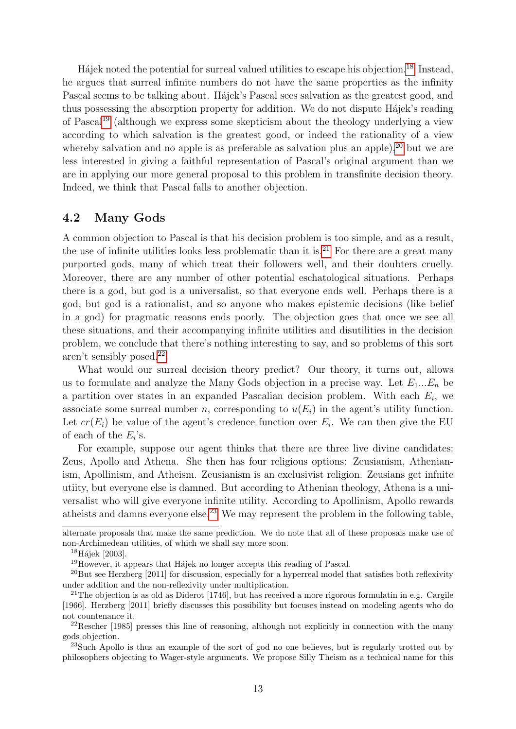Hájek noted the potential for surreal valued utilities to escape his objection.<sup>[18](#page-0-0)</sup> Instead, he argues that surreal infinite numbers do not have the same properties as the infinity Pascal seems to be talking about. Hajek's Pascal sees salvation as the greatest good, and thus possessing the absorption property for addition. We do not dispute Hajek's reading of Pascal[19](#page-0-0) (although we express some skepticism about the theology underlying a view according to which salvation is the greatest good, or indeed the rationality of a view whereby salvation and no apple is as preferable as salvation plus an apple), $^{20}$  $^{20}$  $^{20}$  but we are less interested in giving a faithful representation of Pascal's original argument than we are in applying our more general proposal to this problem in transfinite decision theory. Indeed, we think that Pascal falls to another objection.

### <span id="page-12-0"></span>4.2 Many Gods

A common objection to Pascal is that his decision problem is too simple, and as a result, the use of infinite utilities looks less problematic than it is.<sup>[21](#page-0-0)</sup> For there are a great many purported gods, many of which treat their followers well, and their doubters cruelly. Moreover, there are any number of other potential eschatological situations. Perhaps there is a god, but god is a universalist, so that everyone ends well. Perhaps there is a god, but god is a rationalist, and so anyone who makes epistemic decisions (like belief in a god) for pragmatic reasons ends poorly. The objection goes that once we see all these situations, and their accompanying infinite utilities and disutilities in the decision problem, we conclude that there's nothing interesting to say, and so problems of this sort aren't sensibly posed.[22](#page-0-0)

What would our surreal decision theory predict? Our theory, it turns out, allows us to formulate and analyze the Many Gods objection in a precise way. Let  $E_1...E_n$  be a partition over states in an expanded Pascalian decision problem. With each  $E_i$ , we associate some surreal number n, corresponding to  $u(E_i)$  in the agent's utility function. Let  $cr(E_i)$  be value of the agent's credence function over  $E_i$ . We can then give the EU of each of the  $E_i$ 's.

For example, suppose our agent thinks that there are three live divine candidates: Zeus, Apollo and Athena. She then has four religious options: Zeusianism, Athenianism, Apollinism, and Atheism. Zeusianism is an exclusivist religion. Zeusians get infnite utiity, but everyone else is damned. But according to Athenian theology, Athena is a universalist who will give everyone infinite utility. According to Apollinism, Apollo rewards atheists and damns everyone else.<sup>[23](#page-0-0)</sup> We may represent the problem in the following table,

alternate proposals that make the same prediction. We do note that all of these proposals make use of non-Archimedean utilities, of which we shall say more soon.

 $18$ Hájek [2003].

 $19$ However, it appears that Hájek no longer accepts this reading of Pascal.

 $^{20}$ But see Herzberg [2011] for discussion, especially for a hyperreal model that satisfies both reflexivity under addition and the non-reflexivity under multiplication.

<sup>&</sup>lt;sup>21</sup>The objection is as old as Diderot [1746], but has received a more rigorous formulatin in e.g. Cargile [1966]. Herzberg [2011] briefly discusses this possibility but focuses instead on modeling agents who do not countenance it.

<sup>22</sup>Rescher [1985] presses this line of reasoning, although not explicitly in connection with the many gods objection.

<sup>&</sup>lt;sup>23</sup>Such Apollo is thus an example of the sort of god no one believes, but is regularly trotted out by philosophers objecting to Wager-style arguments. We propose Silly Theism as a technical name for this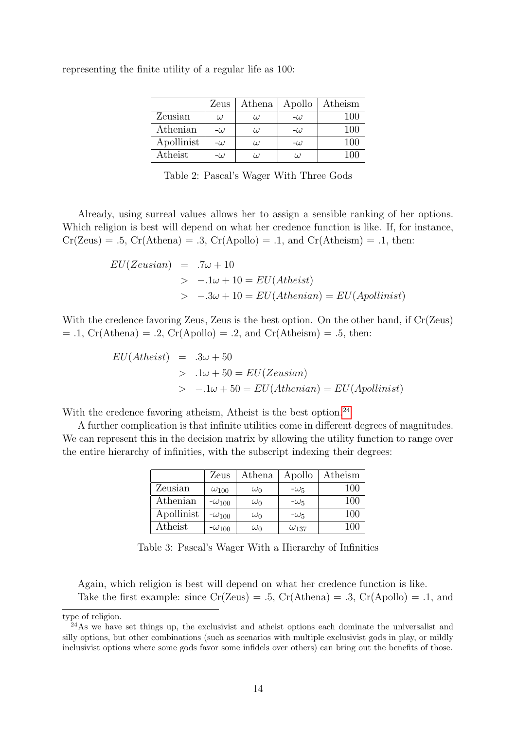|            | Zeus                         | Athena | Apollo | Atheism |
|------------|------------------------------|--------|--------|---------|
| Zeusian    | $\left( \frac{1}{2} \right)$ |        | (۱) –  |         |
| Athenian   | $-\omega$                    |        | $-(1)$ |         |
| Apollinist | $-\omega$                    |        | $-(1)$ | 100     |
| Atheist    | -60                          |        |        |         |

representing the finite utility of a regular life as 100:

Table 2: Pascal's Wager With Three Gods

Already, using surreal values allows her to assign a sensible ranking of her options. Which religion is best will depend on what her credence function is like. If, for instance,  $Cr(Zeus) = .5, Cr(Athena) = .3, Cr(Apollo) = .1, and Cr(Atheism) = .1, then:$ 

$$
EU(Zeusian) = .7\omega + 10
$$
  
> -.1\omega + 10 = EU(Atheist)  
> -.3\omega + 10 = EU(Atherian) = EU(Apollinist)

With the credence favoring Zeus, Zeus is the best option. On the other hand, if Cr(Zeus)  $= .1, Cr(Athena) = .2, Cr(Apollo) = .2, and Cr(Atheism) = .5, then:$ 

$$
EU(Atheist) = .3\omega + 50
$$
  
> .1\omega + 50 = EU(Zeusian)  
> -.1\omega + 50 = EU(Athenian) = EU(Apollinist)

With the credence favoring atheism, Atheist is the best option.<sup>[24](#page-0-0)</sup>

A further complication is that infinite utilities come in different degrees of magnitudes. We can represent this in the decision matrix by allowing the utility function to range over the entire hierarchy of infinities, with the subscript indexing their degrees:

|            | Zeus            | Athena     | Apollo         | Atheism |
|------------|-----------------|------------|----------------|---------|
| Zeusian    | $\omega_{100}$  | $\omega_0$ | $-\omega_5$    | 100     |
| Athenian   | $-\omega_{100}$ | $\omega_0$ | $-\omega_5$    | 100     |
| Apollinist | $-\omega_{100}$ | $\omega_0$ | $-\omega_5$    | 100     |
| Atheist    | $-\omega_{100}$ | $\omega_0$ | $\omega_{137}$ | 1111    |

Table 3: Pascal's Wager With a Hierarchy of Infinities

Again, which religion is best will depend on what her credence function is like.

Take the first example: since  $Cr(Zeus) = .5$ ,  $Cr(Athena) = .3$ ,  $Cr(Apollo) = .1$ , and

type of religion.

<sup>&</sup>lt;sup>24</sup>As we have set things up, the exclusivist and atheist options each dominate the universalist and silly options, but other combinations (such as scenarios with multiple exclusivist gods in play, or mildly inclusivist options where some gods favor some infidels over others) can bring out the benefits of those.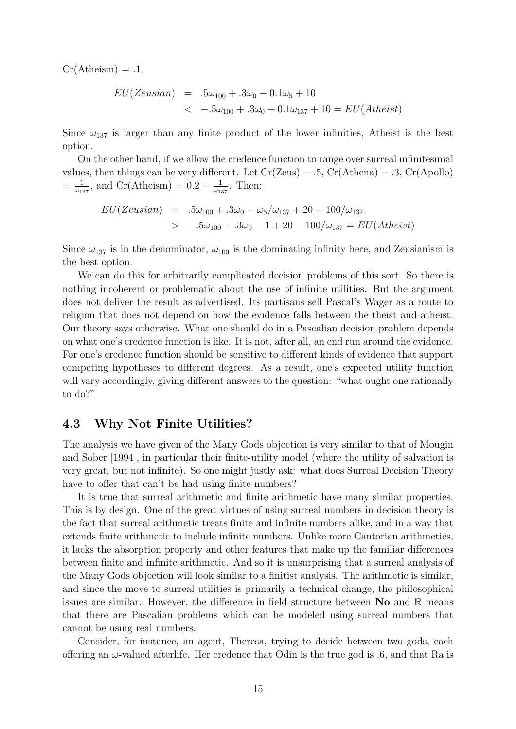$Cr(Atheism) = .1,$ 

$$
EU(Zeusian) = .5\omega_{100} + .3\omega_0 - 0.1\omega_5 + 10
$$
  
< 
$$
-.5\omega_{100} + .3\omega_0 + 0.1\omega_{137} + 10 = EU(Atheist)
$$

Since  $\omega_{137}$  is larger than any finite product of the lower infinities, Atheist is the best option.

On the other hand, if we allow the credence function to range over surreal infinitesimal values, then things can be very different. Let  $Cr(Zeus) = .5$ ,  $Cr(Athena) = .3$ ,  $Cr(Apollo)$  $=\frac{1}{\omega}$  $\frac{1}{\omega_{137}}$ , and Cr(Atheism) = 0.2 –  $\frac{1}{\omega_{13}}$  $\frac{1}{\omega_{137}}$ . Then:

$$
EU(Zeusian) = .5\omega_{100} + .3\omega_0 - \omega_5/\omega_{137} + 20 - 100/\omega_{137}
$$
  
> -.5\omega\_{100} + .3\omega\_0 - 1 + 20 - 100/\omega\_{137} = EU(Atheist)

Since  $\omega_{137}$  is in the denominator,  $\omega_{100}$  is the dominating infinity here, and Zeusianism is the best option.

We can do this for arbitrarily complicated decision problems of this sort. So there is nothing incoherent or problematic about the use of infinite utilities. But the argument does not deliver the result as advertised. Its partisans sell Pascal's Wager as a route to religion that does not depend on how the evidence falls between the theist and atheist. Our theory says otherwise. What one should do in a Pascalian decision problem depends on what one's credence function is like. It is not, after all, an end run around the evidence. For one's credence function should be sensitive to different kinds of evidence that support competing hypotheses to different degrees. As a result, one's expected utility function will vary accordingly, giving different answers to the question: "what ought one rationally to do?"

#### <span id="page-14-0"></span>4.3 Why Not Finite Utilities?

The analysis we have given of the Many Gods objection is very similar to that of Mougin and Sober [1994], in particular their finite-utility model (where the utility of salvation is very great, but not infinite). So one might justly ask: what does Surreal Decision Theory have to offer that can't be had using finite numbers?

It is true that surreal arithmetic and finite arithmetic have many similar properties. This is by design. One of the great virtues of using surreal numbers in decision theory is the fact that surreal arithmetic treats finite and infinite numbers alike, and in a way that extends finite arithmetic to include infinite numbers. Unlike more Cantorian arithmetics, it lacks the absorption property and other features that make up the familiar differences between finite and infinite arithmetic. And so it is unsurprising that a surreal analysis of the Many Gods objection will look similar to a finitist analysis. The arithmetic is similar, and since the move to surreal utilities is primarily a technical change, the philosophical issues are similar. However, the difference in field structure between  $\bf{No}$  and  $\mathbb{R}$  means that there are Pascalian problems which can be modeled using surreal numbers that cannot be using real numbers.

Consider, for instance, an agent, Theresa, trying to decide between two gods, each offering an  $\omega$ -valued afterlife. Her credence that Odin is the true god is .6, and that Ra is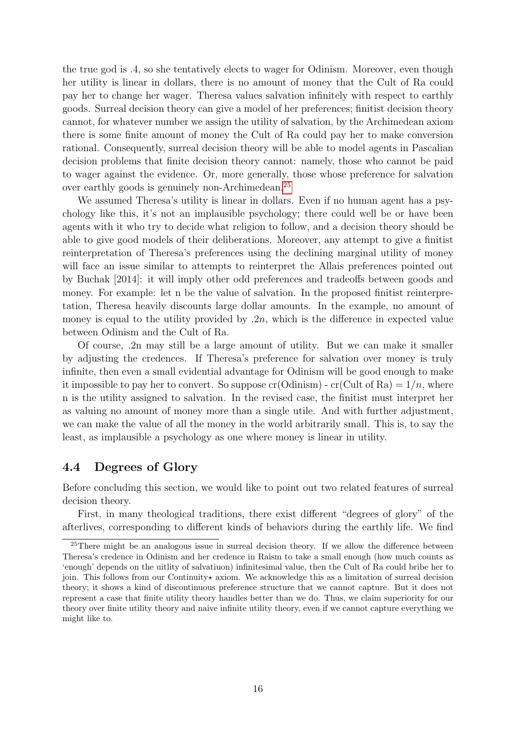the true god is .4, so she tentatively elects to wager for Odinism. Moreover, even though her utility is linear in dollars, there is no amount of money that the Cult of Ra could pay her to change her wager. Theresa values salvation infinitely with respect to earthly goods. Surreal decision theory can give a model of her preferences; finitist decision theory cannot, for whatever number we assign the utility of salvation, by the Archimedean axiom there is some finite amount of money the Cult of Ra could pay her to make conversion rational. Consequently, surreal decision theory will be able to model agents in Pascalian decision problems that finite decision theory cannot: namely, those who cannot be paid to wager against the evidence. Or, more generally, those whose preference for salvation over earthly goods is genuinely non-Archimedean.[25](#page-0-0)

We assumed Theresa's utility is linear in dollars. Even if no human agent has a psychology like this, it's not an implausible psychology; there could well be or have been agents with it who try to decide what religion to follow, and a decision theory should be able to give good models of their deliberations. Moreover, any attempt to give a finitist reinterpretation of Theresa's preferences using the declining marginal utility of money will face an issue similar to attempts to reinterpret the Allais preferences pointed out by Buchak [2014]: it will imply other odd preferences and tradeoffs between goods and money. For example: let n be the value of salvation. In the proposed finitist reinterpretation, Theresa heavily discounts large dollar amounts. In the example, no amount of money is equal to the utility provided by  $2n$ , which is the difference in expected value between Odinism and the Cult of Ra.

Of course, .2n may still be a large amount of utility. But we can make it smaller by adjusting the credences. If Theresa's preference for salvation over money is truly infinite, then even a small evidential advantage for Odinism will be good enough to make it impossible to pay her to convert. So suppose  $cr(Odinism)$  -  $cr(Cult of Ra) = 1/n$ , where n is the utility assigned to salvation. In the revised case, the finitist must interpret her as valuing no amount of money more than a single utile. And with further adjustment, we can make the value of all the money in the world arbitrarily small. This is, to say the least, as implausible a psychology as one where money is linear in utility.

### <span id="page-15-0"></span>4.4 Degrees of Glory

Before concluding this section, we would like to point out two related features of surreal decision theory.

First, in many theological traditions, there exist different "degrees of glory" of the afterlives, corresponding to different kinds of behaviors during the earthly life. We find

<sup>&</sup>lt;sup>25</sup>There might be an analogous issue in surreal decision theory. If we allow the difference between Theresa's credence in Odinism and her credence in Raism to take a small enough (how much counts as 'enough' depends on the uitlity of salvatiuon) infinitesimal value, then the Cult of Ra could bribe her to join. This follows from our Continuity axiom. We acknowledge this as a limitation of surreal decision theory; it shows a kind of discontinuous preference structure that we cannot capture. But it does not represent a case that finite utility theory handles better than we do. Thus, we claim superiority for our theory over finite utility theory and naive infinite utility theory, even if we cannot capture everything we might like to.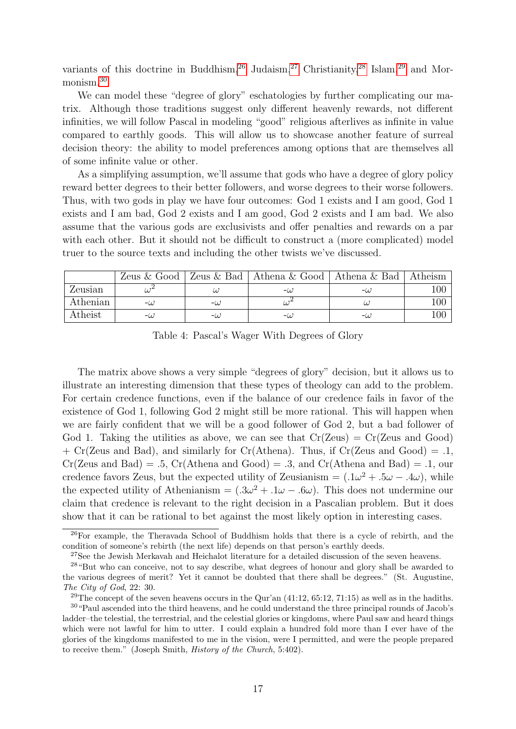variants of this doctrine in Buddhism,<sup>[26](#page-0-0)</sup> Judaism,<sup>[27](#page-0-0)</sup> Christianity,<sup>[28](#page-0-0)</sup> Islam,<sup>[29](#page-0-0)</sup> and Mor-monism.<sup>[30](#page-0-0)</sup>

We can model these "degree of glory" eschatologies by further complicating our matrix. Although those traditions suggest only different heavenly rewards, not different infinities, we will follow Pascal in modeling "good" religious afterlives as infinite in value compared to earthly goods. This will allow us to showcase another feature of surreal decision theory: the ability to model preferences among options that are themselves all of some infinite value or other.

As a simplifying assumption, we'll assume that gods who have a degree of glory policy reward better degrees to their better followers, and worse degrees to their worse followers. Thus, with two gods in play we have four outcomes: God 1 exists and I am good, God 1 exists and I am bad, God 2 exists and I am good, God 2 exists and I am bad. We also assume that the various gods are exclusivists and offer penalties and rewards on a par with each other. But it should not be difficult to construct a (more complicated) model truer to the source texts and including the other twists we've discussed.

|          | Zeus & Good |           | Zeus & Bad   Athena & Good   Athena & Bad |    | Atheism |
|----------|-------------|-----------|-------------------------------------------|----|---------|
| Zeusian  |             |           | $-\mu$                                    | -α |         |
| Athenian | $-\omega$   | $-\omega$ |                                           | μ  |         |
| Atheist  | $-\omega$   | $-\omega$ | $-\omega$                                 | -u |         |

Table 4: Pascal's Wager With Degrees of Glory

The matrix above shows a very simple "degrees of glory" decision, but it allows us to illustrate an interesting dimension that these types of theology can add to the problem. For certain credence functions, even if the balance of our credence fails in favor of the existence of God 1, following God 2 might still be more rational. This will happen when we are fairly confident that we will be a good follower of God 2, but a bad follower of God 1. Taking the utilities as above, we can see that  $Cr(Zeus) = Cr(Zeus \text{ and } Good)$  $+$  Cr(Zeus and Bad), and similarly for Cr(Athena). Thus, if Cr(Zeus and Good) = .1,  $Cr(Zeus and Bad) = .5, Cr(Athena and Good) = .3, and Cr(Athena and Bad) = .1, our$ credence favors Zeus, but the expected utility of Zeusianism =  $(0.1\omega^2 + 0.5\omega - 0.4\omega)$ , while the expected utility of Athenianism =  $(.3\omega^2 + .1\omega - .6\omega)$ . This does not undermine our claim that credence is relevant to the right decision in a Pascalian problem. But it does show that it can be rational to bet against the most likely option in interesting cases.

<sup>26</sup>For example, the Theravada School of Buddhism holds that there is a cycle of rebirth, and the condition of someone's rebirth (the next life) depends on that person's earthly deeds.

<sup>&</sup>lt;sup>27</sup>See the Jewish Merkavah and Heichalot literature for a detailed discussion of the seven heavens.

<sup>&</sup>lt;sup>28</sup> "But who can conceive, not to say describe, what degrees of honour and glory shall be awarded to the various degrees of merit? Yet it cannot be doubted that there shall be degrees." (St. Augustine, The City of God, 22: 30.

<sup>&</sup>lt;sup>29</sup>The concept of the seven heavens occurs in the Qur'an  $(41:12, 65:12, 71:15)$  as well as in the hadiths.

<sup>&</sup>lt;sup>30</sup> "Paul ascended into the third heavens, and he could understand the three principal rounds of Jacob's ladder–the telestial, the terrestrial, and the celestial glories or kingdoms, where Paul saw and heard things which were not lawful for him to utter. I could explain a hundred fold more than I ever have of the glories of the kingdoms manifested to me in the vision, were I permitted, and were the people prepared to receive them." (Joseph Smith, History of the Church, 5:402).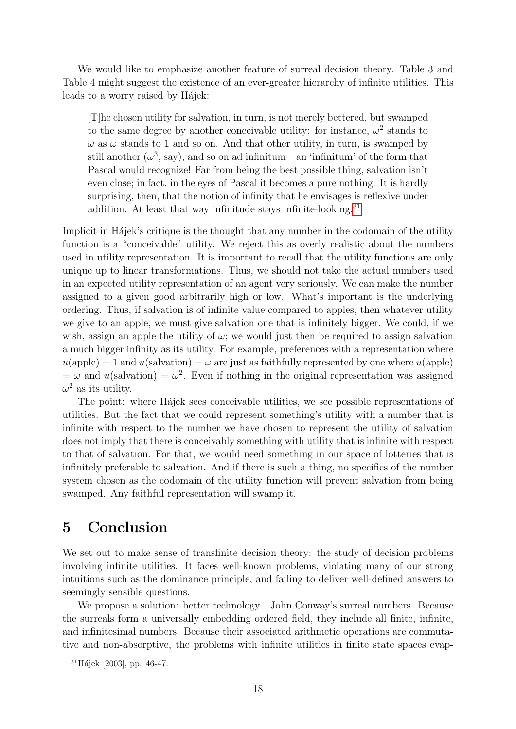We would like to emphasize another feature of surreal decision theory. Table 3 and Table 4 might suggest the existence of an ever-greater hierarchy of infinite utilities. This leads to a worry raised by Hájek:

[T]he chosen utility for salvation, in turn, is not merely bettered, but swamped to the same degree by another conceivable utility: for instance,  $\omega^2$  stands to  $\omega$  as  $\omega$  stands to 1 and so on. And that other utility, in turn, is swamped by still another  $(\omega^3, \text{say})$ , and so on ad infinitum—an 'infinitum' of the form that Pascal would recognize! Far from being the best possible thing, salvation isn't even close; in fact, in the eyes of Pascal it becomes a pure nothing. It is hardly surprising, then, that the notion of infinity that he envisages is reflexive under addition. At least that way infinitude stays infinite-looking.<sup>[31](#page-0-0)</sup>

Implicit in Hajek's critique is the thought that any number in the codomain of the utility function is a "conceivable" utility. We reject this as overly realistic about the numbers used in utility representation. It is important to recall that the utility functions are only unique up to linear transformations. Thus, we should not take the actual numbers used in an expected utility representation of an agent very seriously. We can make the number assigned to a given good arbitrarily high or low. What's important is the underlying ordering. Thus, if salvation is of infinite value compared to apples, then whatever utility we give to an apple, we must give salvation one that is infinitely bigger. We could, if we wish, assign an apple the utility of  $\omega$ ; we would just then be required to assign salvation a much bigger infinity as its utility. For example, preferences with a representation where  $u(\text{apple}) = 1$  and  $u(\text{salvation}) = \omega$  are just as faithfully represented by one where  $u(\text{apple})$  $=\omega$  and  $u(\text{salvation}) = \omega^2$ . Even if nothing in the original representation was assigned  $\omega^2$  as its utility.

The point: where Hájek sees conceivable utilities, we see possible representations of utilities. But the fact that we could represent something's utility with a number that is infinite with respect to the number we have chosen to represent the utility of salvation does not imply that there is conceivably something with utility that is infinite with respect to that of salvation. For that, we would need something in our space of lotteries that is infinitely preferable to salvation. And if there is such a thing, no specifics of the number system chosen as the codomain of the utility function will prevent salvation from being swamped. Any faithful representation will swamp it.

## <span id="page-17-0"></span>5 Conclusion

We set out to make sense of transfinite decision theory: the study of decision problems involving infinite utilities. It faces well-known problems, violating many of our strong intuitions such as the dominance principle, and failing to deliver well-defined answers to seemingly sensible questions.

We propose a solution: better technology—John Conway's surreal numbers. Because the surreals form a universally embedding ordered field, they include all finite, infinite, and infinitesimal numbers. Because their associated arithmetic operations are commutative and non-absorptive, the problems with infinite utilities in finite state spaces evap-

 $31$ Hájek [2003], pp. 46-47.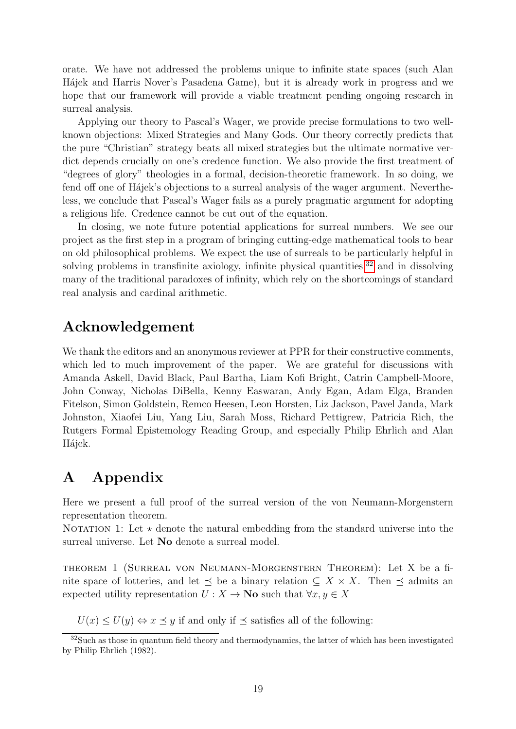orate. We have not addressed the problems unique to infinite state spaces (such Alan Hájek and Harris Nover's Pasadena Game), but it is already work in progress and we hope that our framework will provide a viable treatment pending ongoing research in surreal analysis.

Applying our theory to Pascal's Wager, we provide precise formulations to two wellknown objections: Mixed Strategies and Many Gods. Our theory correctly predicts that the pure "Christian" strategy beats all mixed strategies but the ultimate normative verdict depends crucially on one's credence function. We also provide the first treatment of "degrees of glory" theologies in a formal, decision-theoretic framework. In so doing, we fend off one of Hajek's objections to a surreal analysis of the wager argument. Nevertheless, we conclude that Pascal's Wager fails as a purely pragmatic argument for adopting a religious life. Credence cannot be cut out of the equation.

In closing, we note future potential applications for surreal numbers. We see our project as the first step in a program of bringing cutting-edge mathematical tools to bear on old philosophical problems. We expect the use of surreals to be particularly helpful in solving problems in transfinite axiology, infinite physical quantities,  $32$  and in dissolving many of the traditional paradoxes of infinity, which rely on the shortcomings of standard real analysis and cardinal arithmetic.

# Acknowledgement

We thank the editors and an anonymous reviewer at PPR for their constructive comments, which led to much improvement of the paper. We are grateful for discussions with Amanda Askell, David Black, Paul Bartha, Liam Kofi Bright, Catrin Campbell-Moore, John Conway, Nicholas DiBella, Kenny Easwaran, Andy Egan, Adam Elga, Branden Fitelson, Simon Goldstein, Remco Heesen, Leon Horsten, Liz Jackson, Pavel Janda, Mark Johnston, Xiaofei Liu, Yang Liu, Sarah Moss, Richard Pettigrew, Patricia Rich, the Rutgers Formal Epistemology Reading Group, and especially Philip Ehrlich and Alan Hájek.

# <span id="page-18-0"></span>A Appendix

Here we present a full proof of the surreal version of the von Neumann-Morgenstern representation theorem.

NOTATION 1: Let  $\star$  denote the natural embedding from the standard universe into the surreal universe. Let No denote a surreal model.

theorem 1 (Surreal von Neumann-Morgenstern Theorem): Let X be a finite space of lotteries, and let  $\preceq$  be a binary relation  $\subseteq X \times X$ . Then  $\preceq$  admits an expected utility representation  $U : X \to \mathbf{No}$  such that  $\forall x, y \in X$ 

 $U(x) \le U(y) \Leftrightarrow x \le y$  if and only if  $\preceq$  satisfies all of the following:

<sup>&</sup>lt;sup>32</sup>Such as those in quantum field theory and thermodynamics, the latter of which has been investigated by Philip Ehrlich (1982).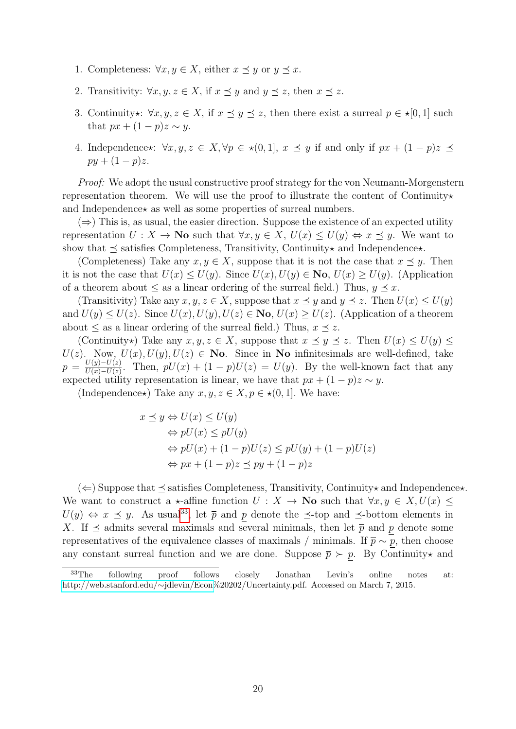- 1. Completeness:  $\forall x, y \in X$ , either  $x \preceq y$  or  $y \preceq x$ .
- 2. Transitivity:  $\forall x, y, z \in X$ , if  $x \preceq y$  and  $y \preceq z$ , then  $x \preceq z$ .
- 3. Continuity $\star: \forall x, y, z \in X$ , if  $x \leq y \leq z$ , then there exist a surreal  $p \in \star[0, 1]$  such that  $px + (1-p)z \sim y$ .
- 4. Independence\*:  $\forall x, y, z \in X, \forall p \in \star(0,1], x \preceq y$  if and only if  $px + (1 p)z \preceq z$  $py + (1 - p)z$ .

Proof: We adopt the usual constructive proof strategy for the von Neumann-Morgenstern representation theorem. We will use the proof to illustrate the content of Continuity $\star$ and Independence $\star$  as well as some properties of surreal numbers.

 $(\Rightarrow)$  This is, as usual, the easier direction. Suppose the existence of an expected utility representation  $U: X \to \mathbb{N}$ o such that  $\forall x, y \in X$ ,  $U(x) \leq U(y) \Leftrightarrow x \preceq y$ . We want to show that  $\preceq$  satisfies Completeness, Transitivity, Continuity and Independence.

(Completeness) Take any  $x, y \in X$ , suppose that it is not the case that  $x \prec y$ . Then it is not the case that  $U(x) \leq U(y)$ . Since  $U(x)$ ,  $U(y) \in \mathbf{No}$ ,  $U(x) \geq U(y)$ . (Application of a theorem about  $\leq$  as a linear ordering of the surreal field.) Thus,  $y \preceq x$ .

(Transitivity) Take any  $x, y, z \in X$ , suppose that  $x \preceq y$  and  $y \preceq z$ . Then  $U(x) \leq U(y)$ and  $U(y) \leq U(z)$ . Since  $U(x)$ ,  $U(y)$ ,  $U(z) \in \mathbf{No}$ ,  $U(x) \geq U(z)$ . (Application of a theorem about  $\leq$  as a linear ordering of the surreal field.) Thus,  $x \leq z$ .

(Continuity $\star$ ) Take any  $x, y, z \in X$ , suppose that  $x \preceq y \preceq z$ . Then  $U(x) \leq U(y) \leq$  $U(z)$ . Now,  $U(x)$ ,  $U(y)$ ,  $U(z) \in \mathbb{N}$ o. Since in No infinitesimals are well-defined, take  $p = \frac{U(y)-U(z)}{U(x)-U(z)}$  $\frac{U(y)-U(z)}{U(x)-U(z)}$ . Then,  $pU(x) + (1-p)U(z) = U(y)$ . By the well-known fact that any expected utility representation is linear, we have that  $px + (1 - p)z \sim y$ .

(Independence $\star$ ) Take any  $x, y, z \in X, p \in \star(0, 1]$ . We have:

$$
x \preceq y \Leftrightarrow U(x) \le U(y)
$$
  
\n
$$
\Leftrightarrow pU(x) \le pU(y)
$$
  
\n
$$
\Leftrightarrow pU(x) + (1-p)U(z) \le pU(y) + (1-p)U(z)
$$
  
\n
$$
\Leftrightarrow px + (1-p)z \preceq py + (1-p)z
$$

 $(\Leftarrow)$  Suppose that  $\preceq$  satisfies Completeness, Transitivity, Continuity and Independence. We want to construct a  $\star$ -affine function  $U : X \to \mathbb{N}$ o such that  $\forall x, y \in X, U(x) \leq$  $U(y) \Leftrightarrow x \preceq y$ . As usual<sup>[33](#page-0-0)</sup>, let  $\bar{p}$  and p denote the  $\preceq$ -top and  $\preceq$ -bottom elements in X. If  $\preceq$  admits several maximals and several minimals, then let  $\bar{p}$  and p denote some representatives of the equivalence classes of maximals / minimals. If  $\bar{p} \sim p$ , then choose any constant surreal function and we are done. Suppose  $\bar{p} \succ p$ . By Continuity and

<sup>&</sup>lt;sup>33</sup>The following proof follows closely Jonathan Levin's online notes at: [http://web.stanford.edu/](http://web.stanford.edu/~jdlevin/Econ)∼jdlevin/Econ%20202/Uncertainty.pdf. Accessed on March 7, 2015.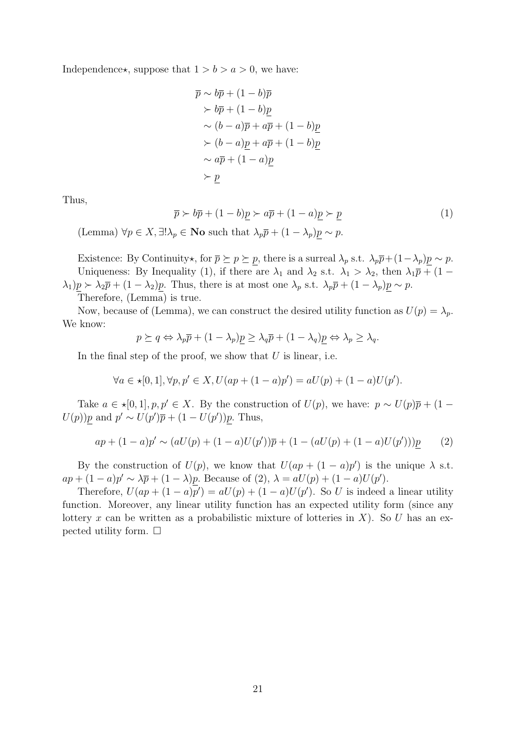Independence $\star$ , suppose that  $1 > b > a > 0$ , we have:

$$
\overline{p} \sim b\overline{p} + (1 - b)\overline{p}
$$
\n
$$
\succ b\overline{p} + (1 - b)\underline{p}
$$
\n
$$
\sim (b - a)\overline{p} + a\overline{p} + (1 - b)\underline{p}
$$
\n
$$
\succ (b - a)\underline{p} + a\overline{p} + (1 - b)\underline{p}
$$
\n
$$
\sim a\overline{p} + (1 - a)\underline{p}
$$
\n
$$
\succ \underline{p}
$$

Thus,

$$
\overline{p} \succ b\overline{p} + (1 - b)\underline{p} \succ a\overline{p} + (1 - a)\underline{p} \succ \underline{p}
$$
\n
$$
\sum_{n=0}^{\infty} a\overline{p} + (1 - a)\underline{p} \succ a\overline{p}
$$
\n
$$
(1)
$$

(Lemma)  $\forall p \in X, \exists! \lambda_p \in \mathbf{No}$  such that  $\lambda_p \overline{p} + (1 - \lambda_p)p \sim p$ .

Existence: By Continuity $\star$ , for  $\overline{p} \succeq p \succeq p$ , there is a surreal  $\lambda_p$  s.t.  $\lambda_p \overline{p} + (1-\lambda_p)p \sim p$ . Uniqueness: By Inequality (1), if there are  $\lambda_1$  and  $\lambda_2$  s.t.  $\lambda_1 > \lambda_2$ , then  $\lambda_1 \overline{p} + (1 (\lambda_1)\underline{p} \succ \lambda_2\overline{p} + (1 - \lambda_2)\underline{p}$ . Thus, there is at most one  $\lambda_p$  s.t.  $\lambda_p\overline{p} + (1 - \lambda_p)p \sim p$ .

Therefore, (Lemma) is true.

Now, because of (Lemma), we can construct the desired utility function as  $U(p) = \lambda_p$ . We know:

$$
p \succeq q \Leftrightarrow \lambda_p \overline{p} + (1 - \lambda_p) \underline{p} \ge \lambda_q \overline{p} + (1 - \lambda_q) \underline{p} \Leftrightarrow \lambda_p \ge \lambda_q.
$$

In the final step of the proof, we show that  $U$  is linear, i.e.

$$
\forall a \in \star[0,1], \forall p, p' \in X, U(ap + (1 - a)p') = aU(p) + (1 - a)U(p').
$$

Take  $a \in \star[0, 1], p, p' \in X$ . By the construction of  $U(p)$ , we have:  $p \sim U(p)\overline{p} + (1-\overline{p})$  $U(p)\underline{p}$  and  $p' \sim U(p')\overline{p} + (1 - U(p'))\underline{p}$ . Thus,

$$
ap + (1 - a)p' \sim (aU(p) + (1 - a)U(p'))\overline{p} + (1 - (aU(p) + (1 - a)U(p')))\underline{p} \tag{2}
$$

By the construction of  $U(p)$ , we know that  $U(ap + (1 - a)p')$  is the unique  $\lambda$  s.t.  $ap + (1 - a)p' \sim \lambda \overline{p} + (1 - \lambda)\underline{p}$ . Because of (2),  $\lambda = aU(p) + (1 - a)U(p')$ .

Therefore,  $U(ap + (1 - a)p') = aU(p) + (1 - a)U(p')$ . So U is indeed a linear utility function. Moreover, any linear utility function has an expected utility form (since any lottery x can be written as a probabilistic mixture of lotteries in X). So U has an expected utility form.  $\Box$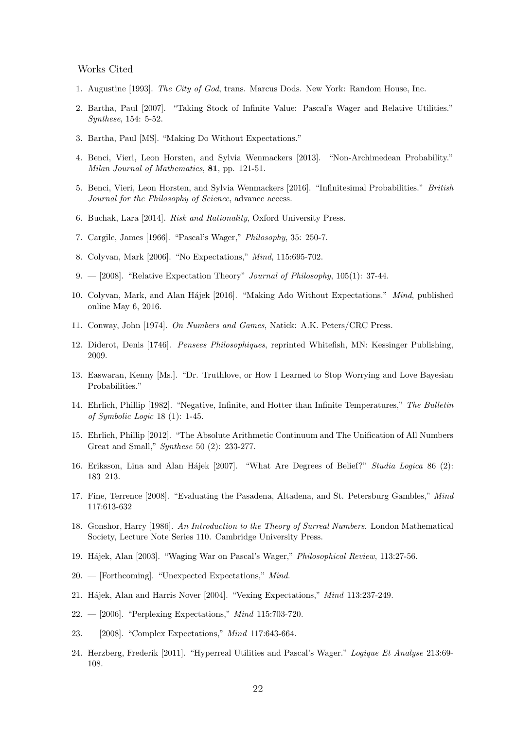#### Works Cited

- 1. Augustine [1993]. The City of God, trans. Marcus Dods. New York: Random House, Inc.
- 2. Bartha, Paul [2007]. "Taking Stock of Infinite Value: Pascal's Wager and Relative Utilities." Synthese, 154: 5-52.
- 3. Bartha, Paul [MS]. "Making Do Without Expectations."
- 4. Benci, Vieri, Leon Horsten, and Sylvia Wenmackers [2013]. "Non-Archimedean Probability." Milan Journal of Mathematics, 81, pp. 121-51.
- 5. Benci, Vieri, Leon Horsten, and Sylvia Wenmackers [2016]. "Infinitesimal Probabilities." British Journal for the Philosophy of Science, advance access.
- 6. Buchak, Lara [2014]. Risk and Rationality, Oxford University Press.
- 7. Cargile, James [1966]. "Pascal's Wager," Philosophy, 35: 250-7.
- 8. Colyvan, Mark [2006]. "No Expectations," Mind, 115:695-702.
- 9. [2008]. "Relative Expectation Theory" Journal of Philosophy,  $105(1)$ : 37-44.
- 10. Colyvan, Mark, and Alan Hájek [2016]. "Making Ado Without Expectations." Mind, published online May 6, 2016.
- 11. Conway, John [1974]. On Numbers and Games, Natick: A.K. Peters/CRC Press.
- 12. Diderot, Denis [1746]. Pensees Philosophiques, reprinted Whitefish, MN: Kessinger Publishing, 2009.
- 13. Easwaran, Kenny [Ms.]. "Dr. Truthlove, or How I Learned to Stop Worrying and Love Bayesian Probabilities."
- 14. Ehrlich, Phillip [1982]. "Negative, Infinite, and Hotter than Infinite Temperatures," The Bulletin of Symbolic Logic 18 (1): 1-45.
- 15. Ehrlich, Phillip [2012]. "The Absolute Arithmetic Continuum and The Unification of All Numbers Great and Small," Synthese 50 (2): 233-277.
- 16. Eriksson, Lina and Alan Hájek [2007]. "What Are Degrees of Belief?" Studia Logica 86 (2): 183–213.
- 17. Fine, Terrence [2008]. "Evaluating the Pasadena, Altadena, and St. Petersburg Gambles," Mind 117:613-632
- 18. Gonshor, Harry [1986]. An Introduction to the Theory of Surreal Numbers. London Mathematical Society, Lecture Note Series 110. Cambridge University Press.
- 19. H´ajek, Alan [2003]. "Waging War on Pascal's Wager," Philosophical Review, 113:27-56.
- 20. [Forthcoming]. "Unexpected Expectations," Mind.
- 21. H´ajek, Alan and Harris Nover [2004]. "Vexing Expectations," Mind 113:237-249.
- 22. [2006]. "Perplexing Expectations," Mind 115:703-720.
- 23. [2008]. "Complex Expectations," Mind 117:643-664.
- 24. Herzberg, Frederik [2011]. "Hyperreal Utilities and Pascal's Wager." Logique Et Analyse 213:69- 108.